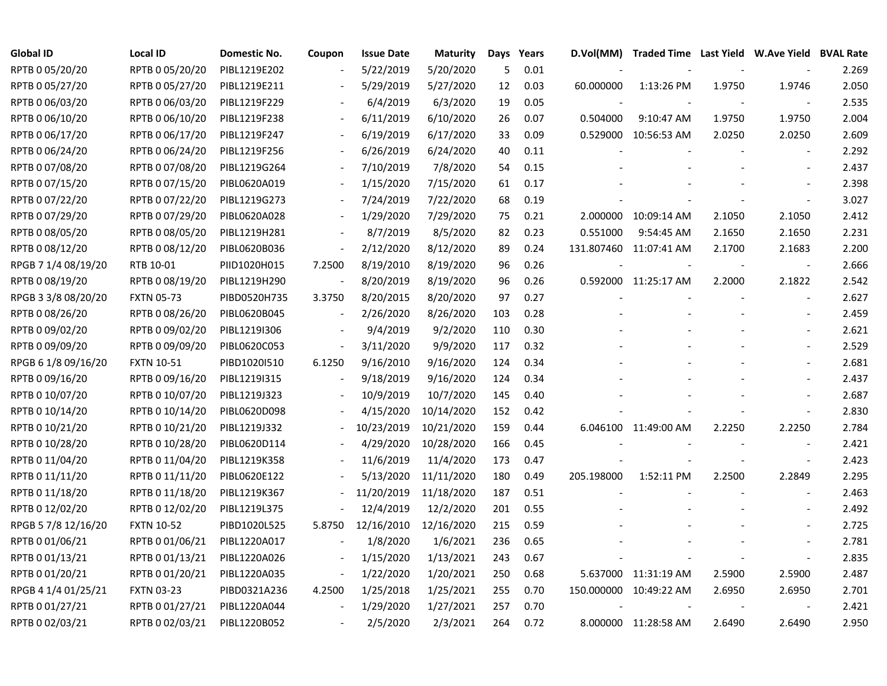| <b>Global ID</b>    | <b>Local ID</b>   | Domestic No. | Coupon                   | <b>Issue Date</b> | <b>Maturity</b> | Days | Years | D.Vol(MM)  | Traded Time Last Yield W.Ave Yield BVAL Rate |        |                          |       |
|---------------------|-------------------|--------------|--------------------------|-------------------|-----------------|------|-------|------------|----------------------------------------------|--------|--------------------------|-------|
| RPTB 0 05/20/20     | RPTB 0 05/20/20   | PIBL1219E202 |                          | 5/22/2019         | 5/20/2020       | 5    | 0.01  |            |                                              |        |                          | 2.269 |
| RPTB 0 05/27/20     | RPTB 0 05/27/20   | PIBL1219E211 |                          | 5/29/2019         | 5/27/2020       | 12   | 0.03  | 60.000000  | 1:13:26 PM                                   | 1.9750 | 1.9746                   | 2.050 |
| RPTB 0 06/03/20     | RPTB 0 06/03/20   | PIBL1219F229 |                          | 6/4/2019          | 6/3/2020        | 19   | 0.05  |            |                                              |        |                          | 2.535 |
| RPTB 0 06/10/20     | RPTB 0 06/10/20   | PIBL1219F238 |                          | 6/11/2019         | 6/10/2020       | 26   | 0.07  | 0.504000   | 9:10:47 AM                                   | 1.9750 | 1.9750                   | 2.004 |
| RPTB 0 06/17/20     | RPTB 0 06/17/20   | PIBL1219F247 |                          | 6/19/2019         | 6/17/2020       | 33   | 0.09  |            | 0.529000 10:56:53 AM                         | 2.0250 | 2.0250                   | 2.609 |
| RPTB 0 06/24/20     | RPTB 0 06/24/20   | PIBL1219F256 |                          | 6/26/2019         | 6/24/2020       | 40   | 0.11  |            |                                              |        | $\overline{\phantom{a}}$ | 2.292 |
| RPTB 0 07/08/20     | RPTB 0 07/08/20   | PIBL1219G264 |                          | 7/10/2019         | 7/8/2020        | 54   | 0.15  |            |                                              |        |                          | 2.437 |
| RPTB 0 07/15/20     | RPTB 0 07/15/20   | PIBL0620A019 |                          | 1/15/2020         | 7/15/2020       | 61   | 0.17  |            |                                              |        |                          | 2.398 |
| RPTB 0 07/22/20     | RPTB 0 07/22/20   | PIBL1219G273 |                          | 7/24/2019         | 7/22/2020       | 68   | 0.19  |            |                                              |        | $\overline{a}$           | 3.027 |
| RPTB 0 07/29/20     | RPTB 0 07/29/20   | PIBL0620A028 |                          | 1/29/2020         | 7/29/2020       | 75   | 0.21  |            | 2.000000 10:09:14 AM                         | 2.1050 | 2.1050                   | 2.412 |
| RPTB 0 08/05/20     | RPTB 0 08/05/20   | PIBL1219H281 |                          | 8/7/2019          | 8/5/2020        | 82   | 0.23  | 0.551000   | 9:54:45 AM                                   | 2.1650 | 2.1650                   | 2.231 |
| RPTB 0 08/12/20     | RPTB 0 08/12/20   | PIBL0620B036 | $\overline{\phantom{a}}$ | 2/12/2020         | 8/12/2020       | 89   | 0.24  |            | 131.807460 11:07:41 AM                       | 2.1700 | 2.1683                   | 2.200 |
| RPGB 7 1/4 08/19/20 | RTB 10-01         | PIID1020H015 | 7.2500                   | 8/19/2010         | 8/19/2020       | 96   | 0.26  |            |                                              |        | $\overline{\phantom{a}}$ | 2.666 |
| RPTB 0 08/19/20     | RPTB 0 08/19/20   | PIBL1219H290 |                          | 8/20/2019         | 8/19/2020       | 96   | 0.26  |            | 0.592000 11:25:17 AM                         | 2.2000 | 2.1822                   | 2.542 |
| RPGB 3 3/8 08/20/20 | <b>FXTN 05-73</b> | PIBD0520H735 | 3.3750                   | 8/20/2015         | 8/20/2020       | 97   | 0.27  |            |                                              |        |                          | 2.627 |
| RPTB 0 08/26/20     | RPTB 0 08/26/20   | PIBL0620B045 |                          | 2/26/2020         | 8/26/2020       | 103  | 0.28  |            |                                              |        |                          | 2.459 |
| RPTB 0 09/02/20     | RPTB 0 09/02/20   | PIBL1219I306 | $\overline{a}$           | 9/4/2019          | 9/2/2020        | 110  | 0.30  |            |                                              |        |                          | 2.621 |
| RPTB 0 09/09/20     | RPTB 0 09/09/20   | PIBL0620C053 |                          | 3/11/2020         | 9/9/2020        | 117  | 0.32  |            |                                              |        |                          | 2.529 |
| RPGB 6 1/8 09/16/20 | <b>FXTN 10-51</b> | PIBD1020I510 | 6.1250                   | 9/16/2010         | 9/16/2020       | 124  | 0.34  |            |                                              |        |                          | 2.681 |
| RPTB 0 09/16/20     | RPTB 0 09/16/20   | PIBL1219I315 |                          | 9/18/2019         | 9/16/2020       | 124  | 0.34  |            |                                              |        |                          | 2.437 |
| RPTB 0 10/07/20     | RPTB 0 10/07/20   | PIBL1219J323 |                          | 10/9/2019         | 10/7/2020       | 145  | 0.40  |            |                                              |        |                          | 2.687 |
| RPTB 0 10/14/20     | RPTB 0 10/14/20   | PIBL0620D098 |                          | 4/15/2020         | 10/14/2020      | 152  | 0.42  |            |                                              |        | $\overline{\phantom{a}}$ | 2.830 |
| RPTB 0 10/21/20     | RPTB 0 10/21/20   | PIBL1219J332 |                          | 10/23/2019        | 10/21/2020      | 159  | 0.44  |            | 6.046100 11:49:00 AM                         | 2.2250 | 2.2250                   | 2.784 |
| RPTB 0 10/28/20     | RPTB 0 10/28/20   | PIBL0620D114 |                          | 4/29/2020         | 10/28/2020      | 166  | 0.45  |            |                                              |        | $\overline{\phantom{a}}$ | 2.421 |
| RPTB 0 11/04/20     | RPTB 0 11/04/20   | PIBL1219K358 |                          | 11/6/2019         | 11/4/2020       | 173  | 0.47  |            |                                              |        | $\blacksquare$           | 2.423 |
| RPTB 0 11/11/20     | RPTB 0 11/11/20   | PIBL0620E122 |                          | 5/13/2020         | 11/11/2020      | 180  | 0.49  | 205.198000 | 1:52:11 PM                                   | 2.2500 | 2.2849                   | 2.295 |
| RPTB 0 11/18/20     | RPTB 0 11/18/20   | PIBL1219K367 |                          | 11/20/2019        | 11/18/2020      | 187  | 0.51  |            |                                              |        |                          | 2.463 |
| RPTB 0 12/02/20     | RPTB 0 12/02/20   | PIBL1219L375 |                          | 12/4/2019         | 12/2/2020       | 201  | 0.55  |            |                                              |        |                          | 2.492 |
| RPGB 5 7/8 12/16/20 | <b>FXTN 10-52</b> | PIBD1020L525 | 5.8750                   | 12/16/2010        | 12/16/2020      | 215  | 0.59  |            |                                              |        |                          | 2.725 |
| RPTB 0 01/06/21     | RPTB 0 01/06/21   | PIBL1220A017 |                          | 1/8/2020          | 1/6/2021        | 236  | 0.65  |            |                                              |        |                          | 2.781 |
| RPTB 0 01/13/21     | RPTB 0 01/13/21   | PIBL1220A026 |                          | 1/15/2020         | 1/13/2021       | 243  | 0.67  |            |                                              |        | $\overline{\phantom{a}}$ | 2.835 |
| RPTB 0 01/20/21     | RPTB 0 01/20/21   | PIBL1220A035 |                          | 1/22/2020         | 1/20/2021       | 250  | 0.68  |            | 5.637000 11:31:19 AM                         | 2.5900 | 2.5900                   | 2.487 |
| RPGB 4 1/4 01/25/21 | <b>FXTN 03-23</b> | PIBD0321A236 | 4.2500                   | 1/25/2018         | 1/25/2021       | 255  | 0.70  |            | 150.000000 10:49:22 AM                       | 2.6950 | 2.6950                   | 2.701 |
| RPTB 0 01/27/21     | RPTB 0 01/27/21   | PIBL1220A044 |                          | 1/29/2020         | 1/27/2021       | 257  | 0.70  |            |                                              |        |                          | 2.421 |
| RPTB 0 02/03/21     | RPTB 0 02/03/21   | PIBL1220B052 |                          | 2/5/2020          | 2/3/2021        | 264  | 0.72  |            | 8.000000 11:28:58 AM                         | 2.6490 | 2.6490                   | 2.950 |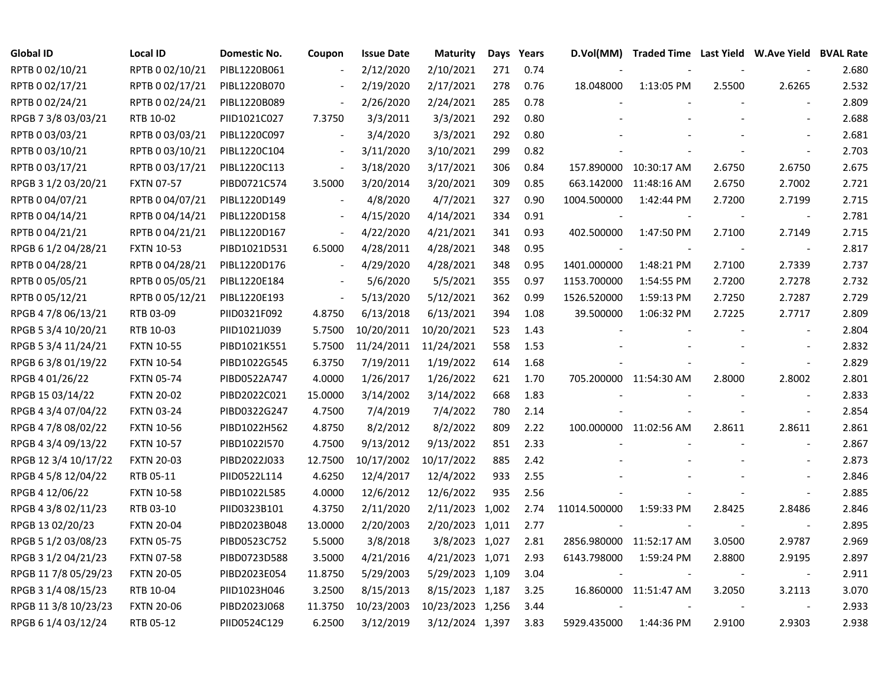| <b>Global ID</b>     | <b>Local ID</b>   | Domestic No. | Coupon                   | <b>Issue Date</b> | <b>Maturity</b>  |     | Days Years | D.Vol(MM)                | Traded Time Last Yield W.Ave Yield BVAL Rate |        |                          |       |
|----------------------|-------------------|--------------|--------------------------|-------------------|------------------|-----|------------|--------------------------|----------------------------------------------|--------|--------------------------|-------|
| RPTB 0 02/10/21      | RPTB 0 02/10/21   | PIBL1220B061 |                          | 2/12/2020         | 2/10/2021        | 271 | 0.74       |                          |                                              |        |                          | 2.680 |
| RPTB 0 02/17/21      | RPTB 0 02/17/21   | PIBL1220B070 |                          | 2/19/2020         | 2/17/2021        | 278 | 0.76       | 18.048000                | 1:13:05 PM                                   | 2.5500 | 2.6265                   | 2.532 |
| RPTB 0 02/24/21      | RPTB 0 02/24/21   | PIBL1220B089 |                          | 2/26/2020         | 2/24/2021        | 285 | 0.78       |                          |                                              |        | $\blacksquare$           | 2.809 |
| RPGB 7 3/8 03/03/21  | RTB 10-02         | PIID1021C027 | 7.3750                   | 3/3/2011          | 3/3/2021         | 292 | 0.80       |                          |                                              |        | $\overline{\phantom{a}}$ | 2.688 |
| RPTB 0 03/03/21      | RPTB 0 03/03/21   | PIBL1220C097 |                          | 3/4/2020          | 3/3/2021         | 292 | 0.80       |                          |                                              |        | $\overline{\phantom{a}}$ | 2.681 |
| RPTB 0 03/10/21      | RPTB 0 03/10/21   | PIBL1220C104 |                          | 3/11/2020         | 3/10/2021        | 299 | 0.82       |                          |                                              |        |                          | 2.703 |
| RPTB 0 03/17/21      | RPTB 0 03/17/21   | PIBL1220C113 |                          | 3/18/2020         | 3/17/2021        | 306 | 0.84       |                          | 157.890000 10:30:17 AM                       | 2.6750 | 2.6750                   | 2.675 |
| RPGB 3 1/2 03/20/21  | <b>FXTN 07-57</b> | PIBD0721C574 | 3.5000                   | 3/20/2014         | 3/20/2021        | 309 | 0.85       |                          | 663.142000 11:48:16 AM                       | 2.6750 | 2.7002                   | 2.721 |
| RPTB 0 04/07/21      | RPTB 0 04/07/21   | PIBL1220D149 |                          | 4/8/2020          | 4/7/2021         | 327 | 0.90       | 1004.500000              | 1:42:44 PM                                   | 2.7200 | 2.7199                   | 2.715 |
| RPTB 0 04/14/21      | RPTB 0 04/14/21   | PIBL1220D158 |                          | 4/15/2020         | 4/14/2021        | 334 | 0.91       |                          |                                              |        |                          | 2.781 |
| RPTB 0 04/21/21      | RPTB 0 04/21/21   | PIBL1220D167 | $\overline{\phantom{a}}$ | 4/22/2020         | 4/21/2021        | 341 | 0.93       | 402.500000               | 1:47:50 PM                                   | 2.7100 | 2.7149                   | 2.715 |
| RPGB 6 1/2 04/28/21  | <b>FXTN 10-53</b> | PIBD1021D531 | 6.5000                   | 4/28/2011         | 4/28/2021        | 348 | 0.95       | $\overline{\phantom{a}}$ |                                              |        | $\overline{\phantom{a}}$ | 2.817 |
| RPTB 0 04/28/21      | RPTB 0 04/28/21   | PIBL1220D176 |                          | 4/29/2020         | 4/28/2021        | 348 | 0.95       | 1401.000000              | 1:48:21 PM                                   | 2.7100 | 2.7339                   | 2.737 |
| RPTB 0 05/05/21      | RPTB 0 05/05/21   | PIBL1220E184 |                          | 5/6/2020          | 5/5/2021         | 355 | 0.97       | 1153.700000              | 1:54:55 PM                                   | 2.7200 | 2.7278                   | 2.732 |
| RPTB 0 05/12/21      | RPTB 0 05/12/21   | PIBL1220E193 |                          | 5/13/2020         | 5/12/2021        | 362 | 0.99       | 1526.520000              | 1:59:13 PM                                   | 2.7250 | 2.7287                   | 2.729 |
| RPGB 4 7/8 06/13/21  | RTB 03-09         | PIID0321F092 | 4.8750                   | 6/13/2018         | 6/13/2021        | 394 | 1.08       | 39.500000                | 1:06:32 PM                                   | 2.7225 | 2.7717                   | 2.809 |
| RPGB 5 3/4 10/20/21  | RTB 10-03         | PIID1021J039 | 5.7500                   | 10/20/2011        | 10/20/2021       | 523 | 1.43       |                          |                                              |        | $\overline{\phantom{a}}$ | 2.804 |
| RPGB 5 3/4 11/24/21  | <b>FXTN 10-55</b> | PIBD1021K551 | 5.7500                   | 11/24/2011        | 11/24/2021       | 558 | 1.53       |                          |                                              |        | $\blacksquare$           | 2.832 |
| RPGB 6 3/8 01/19/22  | <b>FXTN 10-54</b> | PIBD1022G545 | 6.3750                   | 7/19/2011         | 1/19/2022        | 614 | 1.68       |                          |                                              |        | $\overline{\phantom{a}}$ | 2.829 |
| RPGB 4 01/26/22      | <b>FXTN 05-74</b> | PIBD0522A747 | 4.0000                   | 1/26/2017         | 1/26/2022        | 621 | 1.70       |                          | 705.200000 11:54:30 AM                       | 2.8000 | 2.8002                   | 2.801 |
| RPGB 15 03/14/22     | <b>FXTN 20-02</b> | PIBD2022C021 | 15.0000                  | 3/14/2002         | 3/14/2022        | 668 | 1.83       |                          |                                              |        |                          | 2.833 |
| RPGB 4 3/4 07/04/22  | <b>FXTN 03-24</b> | PIBD0322G247 | 4.7500                   | 7/4/2019          | 7/4/2022         | 780 | 2.14       |                          |                                              |        | $\blacksquare$           | 2.854 |
| RPGB 4 7/8 08/02/22  | <b>FXTN 10-56</b> | PIBD1022H562 | 4.8750                   | 8/2/2012          | 8/2/2022         | 809 | 2.22       |                          | 100.000000 11:02:56 AM                       | 2.8611 | 2.8611                   | 2.861 |
| RPGB 4 3/4 09/13/22  | <b>FXTN 10-57</b> | PIBD1022I570 | 4.7500                   | 9/13/2012         | 9/13/2022        | 851 | 2.33       |                          |                                              |        | $\overline{\phantom{a}}$ | 2.867 |
| RPGB 12 3/4 10/17/22 | <b>FXTN 20-03</b> | PIBD2022J033 | 12.7500                  | 10/17/2002        | 10/17/2022       | 885 | 2.42       |                          |                                              |        | $\overline{\phantom{a}}$ | 2.873 |
| RPGB 4 5/8 12/04/22  | RTB 05-11         | PIID0522L114 | 4.6250                   | 12/4/2017         | 12/4/2022        | 933 | 2.55       |                          |                                              |        | $\blacksquare$           | 2.846 |
| RPGB 4 12/06/22      | <b>FXTN 10-58</b> | PIBD1022L585 | 4.0000                   | 12/6/2012         | 12/6/2022        | 935 | 2.56       |                          |                                              |        | $\overline{\phantom{a}}$ | 2.885 |
| RPGB 4 3/8 02/11/23  | RTB 03-10         | PIID0323B101 | 4.3750                   | 2/11/2020         | 2/11/2023 1,002  |     | 2.74       | 11014.500000             | 1:59:33 PM                                   | 2.8425 | 2.8486                   | 2.846 |
| RPGB 13 02/20/23     | <b>FXTN 20-04</b> | PIBD2023B048 | 13.0000                  | 2/20/2003         | 2/20/2023 1,011  |     | 2.77       |                          |                                              |        |                          | 2.895 |
| RPGB 5 1/2 03/08/23  | <b>FXTN 05-75</b> | PIBD0523C752 | 5.5000                   | 3/8/2018          | 3/8/2023 1,027   |     | 2.81       | 2856.980000 11:52:17 AM  |                                              | 3.0500 | 2.9787                   | 2.969 |
| RPGB 3 1/2 04/21/23  | <b>FXTN 07-58</b> | PIBD0723D588 | 3.5000                   | 4/21/2016         | 4/21/2023 1,071  |     | 2.93       | 6143.798000              | 1:59:24 PM                                   | 2.8800 | 2.9195                   | 2.897 |
| RPGB 11 7/8 05/29/23 | <b>FXTN 20-05</b> | PIBD2023E054 | 11.8750                  | 5/29/2003         | 5/29/2023 1,109  |     | 3.04       |                          |                                              |        | $\overline{\phantom{a}}$ | 2.911 |
| RPGB 3 1/4 08/15/23  | RTB 10-04         | PIID1023H046 | 3.2500                   | 8/15/2013         | 8/15/2023 1,187  |     | 3.25       |                          | 16.860000 11:51:47 AM                        | 3.2050 | 3.2113                   | 3.070 |
| RPGB 11 3/8 10/23/23 | <b>FXTN 20-06</b> | PIBD2023J068 | 11.3750                  | 10/23/2003        | 10/23/2023 1,256 |     | 3.44       |                          |                                              |        |                          | 2.933 |
| RPGB 6 1/4 03/12/24  | RTB 05-12         | PIID0524C129 | 6.2500                   | 3/12/2019         | 3/12/2024 1,397  |     | 3.83       | 5929.435000              | 1:44:36 PM                                   | 2.9100 | 2.9303                   | 2.938 |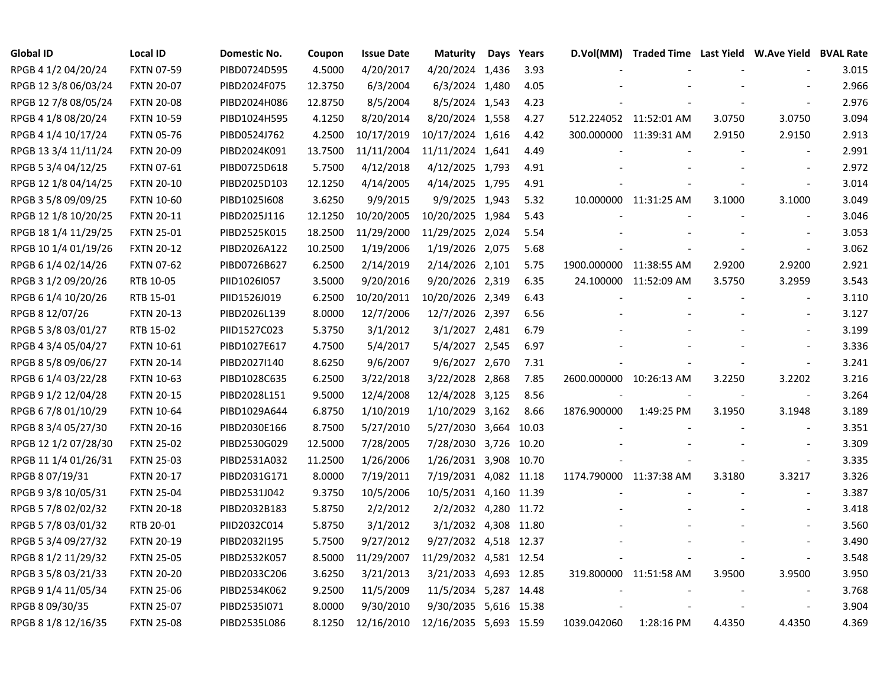| Global ID            | Local ID          | Domestic No. | Coupon  | <b>Issue Date</b> | <b>Maturity</b>        | Days | Years | D.Vol(MM)   | Traded Time Last Yield W.Ave Yield BVAL Rate |        |                          |       |
|----------------------|-------------------|--------------|---------|-------------------|------------------------|------|-------|-------------|----------------------------------------------|--------|--------------------------|-------|
| RPGB 4 1/2 04/20/24  | <b>FXTN 07-59</b> | PIBD0724D595 | 4.5000  | 4/20/2017         | 4/20/2024 1,436        |      | 3.93  |             |                                              |        |                          | 3.015 |
| RPGB 12 3/8 06/03/24 | <b>FXTN 20-07</b> | PIBD2024F075 | 12.3750 | 6/3/2004          | 6/3/2024 1,480         |      | 4.05  |             |                                              |        |                          | 2.966 |
| RPGB 12 7/8 08/05/24 | <b>FXTN 20-08</b> | PIBD2024H086 | 12.8750 | 8/5/2004          | 8/5/2024 1,543         |      | 4.23  |             |                                              |        |                          | 2.976 |
| RPGB 4 1/8 08/20/24  | <b>FXTN 10-59</b> | PIBD1024H595 | 4.1250  | 8/20/2014         | 8/20/2024 1,558        |      | 4.27  |             | 512.224052 11:52:01 AM                       | 3.0750 | 3.0750                   | 3.094 |
| RPGB 4 1/4 10/17/24  | <b>FXTN 05-76</b> | PIBD0524J762 | 4.2500  | 10/17/2019        | 10/17/2024 1,616       |      | 4.42  |             | 300.000000 11:39:31 AM                       | 2.9150 | 2.9150                   | 2.913 |
| RPGB 13 3/4 11/11/24 | <b>FXTN 20-09</b> | PIBD2024K091 | 13.7500 | 11/11/2004        | 11/11/2024 1,641       |      | 4.49  |             |                                              |        | $\blacksquare$           | 2.991 |
| RPGB 5 3/4 04/12/25  | <b>FXTN 07-61</b> | PIBD0725D618 | 5.7500  | 4/12/2018         | 4/12/2025 1,793        |      | 4.91  |             |                                              |        | $\overline{\phantom{a}}$ | 2.972 |
| RPGB 12 1/8 04/14/25 | <b>FXTN 20-10</b> | PIBD2025D103 | 12.1250 | 4/14/2005         | 4/14/2025 1,795        |      | 4.91  |             |                                              |        | $\overline{\phantom{a}}$ | 3.014 |
| RPGB 3 5/8 09/09/25  | <b>FXTN 10-60</b> | PIBD1025I608 | 3.6250  | 9/9/2015          | 9/9/2025 1,943         |      | 5.32  |             | 10.000000 11:31:25 AM                        | 3.1000 | 3.1000                   | 3.049 |
| RPGB 12 1/8 10/20/25 | <b>FXTN 20-11</b> | PIBD2025J116 | 12.1250 | 10/20/2005        | 10/20/2025 1,984       |      | 5.43  |             |                                              |        | $\overline{\phantom{a}}$ | 3.046 |
| RPGB 18 1/4 11/29/25 | <b>FXTN 25-01</b> | PIBD2525K015 | 18.2500 | 11/29/2000        | 11/29/2025 2,024       |      | 5.54  |             |                                              |        |                          | 3.053 |
| RPGB 10 1/4 01/19/26 | <b>FXTN 20-12</b> | PIBD2026A122 | 10.2500 | 1/19/2006         | 1/19/2026 2,075        |      | 5.68  |             |                                              |        | $\blacksquare$           | 3.062 |
| RPGB 6 1/4 02/14/26  | <b>FXTN 07-62</b> | PIBD0726B627 | 6.2500  | 2/14/2019         | 2/14/2026 2,101        |      | 5.75  |             | 1900.000000 11:38:55 AM                      | 2.9200 | 2.9200                   | 2.921 |
| RPGB 3 1/2 09/20/26  | RTB 10-05         | PIID1026I057 | 3.5000  | 9/20/2016         | 9/20/2026 2,319        |      | 6.35  |             | 24.100000 11:52:09 AM                        | 3.5750 | 3.2959                   | 3.543 |
| RPGB 6 1/4 10/20/26  | RTB 15-01         | PIID1526J019 | 6.2500  | 10/20/2011        | 10/20/2026 2,349       |      | 6.43  |             |                                              |        |                          | 3.110 |
| RPGB 8 12/07/26      | <b>FXTN 20-13</b> | PIBD2026L139 | 8.0000  | 12/7/2006         | 12/7/2026 2,397        |      | 6.56  |             |                                              |        |                          | 3.127 |
| RPGB 5 3/8 03/01/27  | RTB 15-02         | PIID1527C023 | 5.3750  | 3/1/2012          | 3/1/2027 2,481         |      | 6.79  |             |                                              |        |                          | 3.199 |
| RPGB 4 3/4 05/04/27  | <b>FXTN 10-61</b> | PIBD1027E617 | 4.7500  | 5/4/2017          | 5/4/2027 2,545         |      | 6.97  |             |                                              |        |                          | 3.336 |
| RPGB 8 5/8 09/06/27  | <b>FXTN 20-14</b> | PIBD2027I140 | 8.6250  | 9/6/2007          | 9/6/2027 2,670         |      | 7.31  |             |                                              |        | $\overline{\phantom{a}}$ | 3.241 |
| RPGB 6 1/4 03/22/28  | <b>FXTN 10-63</b> | PIBD1028C635 | 6.2500  | 3/22/2018         | 3/22/2028 2,868        |      | 7.85  |             | 2600.000000 10:26:13 AM                      | 3.2250 | 3.2202                   | 3.216 |
| RPGB 9 1/2 12/04/28  | <b>FXTN 20-15</b> | PIBD2028L151 | 9.5000  | 12/4/2008         | 12/4/2028 3,125        |      | 8.56  |             |                                              |        | $\overline{\phantom{a}}$ | 3.264 |
| RPGB 6 7/8 01/10/29  | <b>FXTN 10-64</b> | PIBD1029A644 | 6.8750  | 1/10/2019         | 1/10/2029 3,162        |      | 8.66  | 1876.900000 | 1:49:25 PM                                   | 3.1950 | 3.1948                   | 3.189 |
| RPGB 8 3/4 05/27/30  | <b>FXTN 20-16</b> | PIBD2030E166 | 8.7500  | 5/27/2010         | 5/27/2030 3,664 10.03  |      |       |             |                                              |        | $\overline{\phantom{a}}$ | 3.351 |
| RPGB 12 1/2 07/28/30 | <b>FXTN 25-02</b> | PIBD2530G029 | 12.5000 | 7/28/2005         | 7/28/2030 3,726 10.20  |      |       |             |                                              |        | $\overline{\phantom{a}}$ | 3.309 |
| RPGB 11 1/4 01/26/31 | <b>FXTN 25-03</b> | PIBD2531A032 | 11.2500 | 1/26/2006         | 1/26/2031 3,908 10.70  |      |       |             |                                              |        | $\blacksquare$           | 3.335 |
| RPGB 8 07/19/31      | <b>FXTN 20-17</b> | PIBD2031G171 | 8.0000  | 7/19/2011         | 7/19/2031 4,082 11.18  |      |       |             | 1174.790000 11:37:38 AM                      | 3.3180 | 3.3217                   | 3.326 |
| RPGB 9 3/8 10/05/31  | <b>FXTN 25-04</b> | PIBD2531J042 | 9.3750  | 10/5/2006         | 10/5/2031 4,160 11.39  |      |       |             |                                              |        | $\overline{a}$           | 3.387 |
| RPGB 5 7/8 02/02/32  | <b>FXTN 20-18</b> | PIBD2032B183 | 5.8750  | 2/2/2012          | 2/2/2032 4,280 11.72   |      |       |             |                                              |        |                          | 3.418 |
| RPGB 5 7/8 03/01/32  | RTB 20-01         | PIID2032C014 | 5.8750  | 3/1/2012          | 3/1/2032 4,308 11.80   |      |       |             |                                              |        |                          | 3.560 |
| RPGB 5 3/4 09/27/32  | <b>FXTN 20-19</b> | PIBD2032I195 | 5.7500  | 9/27/2012         | 9/27/2032 4,518 12.37  |      |       |             |                                              |        | $\overline{a}$           | 3.490 |
| RPGB 8 1/2 11/29/32  | <b>FXTN 25-05</b> | PIBD2532K057 | 8.5000  | 11/29/2007        | 11/29/2032 4,581 12.54 |      |       |             |                                              |        | $\overline{\phantom{a}}$ | 3.548 |
| RPGB 3 5/8 03/21/33  | <b>FXTN 20-20</b> | PIBD2033C206 | 3.6250  | 3/21/2013         | 3/21/2033 4,693 12.85  |      |       |             | 319.800000 11:51:58 AM                       | 3.9500 | 3.9500                   | 3.950 |
| RPGB 9 1/4 11/05/34  | <b>FXTN 25-06</b> | PIBD2534K062 | 9.2500  | 11/5/2009         | 11/5/2034 5,287 14.48  |      |       |             |                                              |        | $\blacksquare$           | 3.768 |
| RPGB 8 09/30/35      | <b>FXTN 25-07</b> | PIBD2535I071 | 8.0000  | 9/30/2010         | 9/30/2035 5,616 15.38  |      |       |             |                                              |        | $\overline{\phantom{a}}$ | 3.904 |
| RPGB 8 1/8 12/16/35  | <b>FXTN 25-08</b> | PIBD2535L086 | 8.1250  | 12/16/2010        | 12/16/2035 5,693 15.59 |      |       | 1039.042060 | 1:28:16 PM                                   | 4.4350 | 4.4350                   | 4.369 |